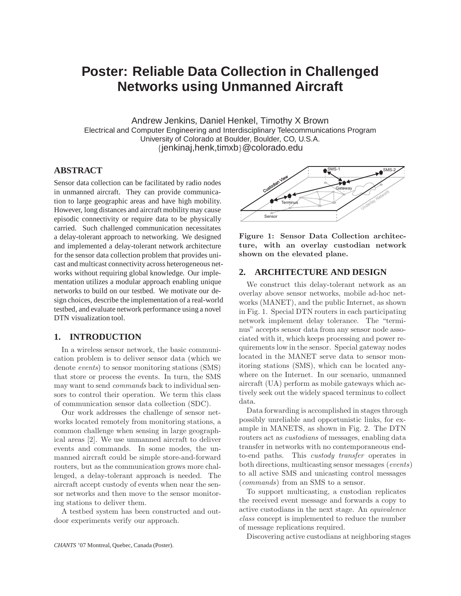# **Poster: Reliable Data Collection in Challenged Networks using Unmanned Aircraft**

Andrew Jenkins, Daniel Henkel, Timothy X Brown Electrical and Computer Engineering and Interdisciplinary Telecommunications Program University of Colorado at Boulder, Boulder, CO, U.S.A. {jenkinaj,henk,timxb}@colorado.edu

# **ABSTRACT**

Sensor data collection can be facilitated by radio nodes in unmanned aircraft. They can provide communication to large geographic areas and have high mobility. However, long distances and aircraft mobility may cause episodic connectivity or require data to be physically carried. Such challenged communication necessitates a delay-tolerant approach to networking. We designed and implemented a delay-tolerant network architecture for the sensor data collection problem that provides unicast and multicast connectivity across heterogeneous networks without requiring global knowledge. Our implementation utilizes a modular approach enabling unique networks to build on our testbed. We motivate our design choices, describe the implementation of a real-world testbed, and evaluate network performance using a novel DTN visualization tool.

### **1. INTRODUCTION**

In a wireless sensor network, the basic communication problem is to deliver sensor data (which we denote events) to sensor monitoring stations (SMS) that store or process the events. In turn, the SMS may want to send commands back to individual sensors to control their operation. We term this class of communication sensor data collection (SDC).

Our work addresses the challenge of sensor networks located remotely from monitoring stations, a common challenge when sensing in large geographical areas [2]. We use unmanned aircraft to deliver events and commands. In some modes, the unmanned aircraft could be simple store-and-forward routers, but as the communication grows more challenged, a delay-tolerant approach is needed. The aircraft accept custody of events when near the sensor networks and then move to the sensor monitoring stations to deliver them.

A testbed system has been constructed and outdoor experiments verify our approach.



Figure 1: Sensor Data Collection architecture, with an overlay custodian network shown on the elevated plane.

#### **2. ARCHITECTURE AND DESIGN**

We construct this delay-tolerant network as an overlay above sensor networks, mobile ad-hoc networks (MANET), and the public Internet, as shown in Fig. 1. Special DTN routers in each participating network implement delay tolerance. The "terminus" accepts sensor data from any sensor node associated with it, which keeps processing and power requirements low in the sensor. Special gateway nodes located in the MANET serve data to sensor monitoring stations (SMS), which can be located anywhere on the Internet. In our scenario, unmanned aircraft (UA) perform as mobile gateways which actively seek out the widely spaced terminus to collect data.

Data forwarding is accomplished in stages through possibly unreliable and opportunistic links, for example in MANETS, as shown in Fig. 2. The DTN routers act as custodians of messages, enabling data transfer in networks with no contemporaneous endto-end paths. This custody transfer operates in both directions, multicasting sensor messages (events) to all active SMS and unicasting control messages (commands) from an SMS to a sensor.

To support multicasting, a custodian replicates the received event message and forwards a copy to active custodians in the next stage. An equivalence class concept is implemented to reduce the number of message replications required.

Discovering active custodians at neighboring stages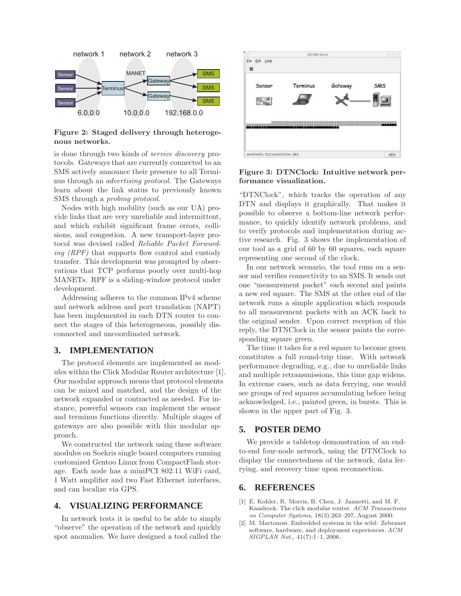

Figure 2: Staged delivery through heterogenous networks.

is done through two kinds of service discovery protocols. Gateways that are currently connected to an SMS actively announce their presence to all Terminus through an advertising protocol. The Gateways learn about the link status to previously known SMS through a probing protocol.

Nodes with high mobility (such as our UA) provide links that are very unreliable and intermittent, and which exhibit significant frame errors, collisions, and congestion. A new transport-layer protocol was devised called Reliable Packet Forwarding  $(RPF)$  that supports flow control and custody transfer. This development was prompted by observations that TCP performs poorly over multi-hop MANETs. RPF is a sliding-window protocol under development.

Addressing adheres to the common IPv4 scheme and network address and port translation (NAPT) has been implemented in each DTN router to connect the stages of this heterogeneous, possibly disconnected and uncoordinated network.

#### **3. IMPLEMENTATION**

The protocol elements are implemented as modules within the Click Modular Router architecture [1]. Our modular approach means that protocol elements can be mixed and matched, and the design of the network expanded or contracted as needed. For instance, powerful sensors can implement the sensor and terminus functions directly. Multiple stages of gateways are also possible with this modular approach.

We constructed the network using these software modules on Soekris single board computers running customized Gentoo Linux from CompactFlash storage. Each node has a miniPCI 802.11 WiFi card, 1 Watt amplifier and two Fast Ethernet interfaces, and can localize via GPS.

## **4. VISUALIZING PERFORMANCE**

In network tests it is useful to be able to simply "observe" the operation of the network and quickly spot anomalies. We have designed a tool called the



Figure 3: DTNClock: Intuitive network performance visualization.

"DTNClock", which tracks the operation of any DTN and displays it graphically. That makes it possible to observe a bottom-line network performance, to quickly identify network problems, and to verify protocols and implementation during active research. Fig. 3 shows the implementation of our tool as a grid of 60 by 60 squares, each square representing one second of the clock.

In our network scenario, the tool runs on a sensor and verifies connectivity to an SMS. It sends out one "measurement packet" each second and paints a new red square. The SMS at the other end of the network runs a simple application which responds to all measurement packets with an ACK back to the original sender. Upon correct reception of this reply, the DTNClock in the sensor paints the corresponding square green.

The time it takes for a red square to become green constitutes a full round-trip time. With network performance degrading, e.g., due to unreliable links and multiple retransmissions, this time gap widens. In extreme cases, such as data ferrying, one would see groups of red squares accumulating before being acknowledged, i.e., painted green, in bursts. This is shown in the upper part of Fig. 3.

#### **5. POSTER DEMO**

We provide a tabletop demonstration of an endto-end four-node network, using the DTNClock to display the connectedness of the network, data ferrying, and recovery time upon reconnection.

#### **6. REFERENCES**

- [1] E. Kohler, R. Morris, B. Chen, J. Jannotti, and M. F. Kaashoek. The click modular router. ACM Transactions on Computer Systems, 18(3):263–297, August 2000.
- [2] M. Martonosi. Embedded systems in the wild: Zebranet software, hardware, and deployment experiences. ACM SIGPLAN Not., 41(7):1–1, 2006.